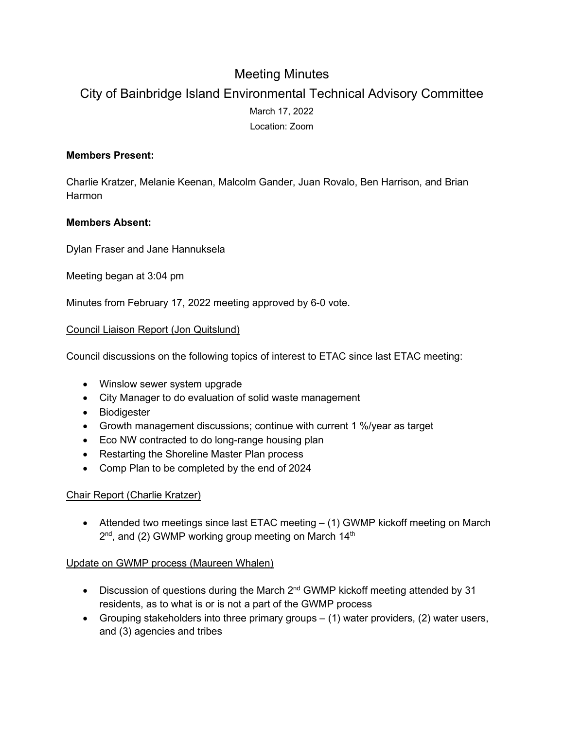# Meeting Minutes

# City of Bainbridge Island Environmental Technical Advisory Committee March 17, 2022 Location: Zoom

## **Members Present:**

Charlie Kratzer, Melanie Keenan, Malcolm Gander, Juan Rovalo, Ben Harrison, and Brian Harmon

### **Members Absent:**

Dylan Fraser and Jane Hannuksela

Meeting began at 3:04 pm

Minutes from February 17, 2022 meeting approved by 6-0 vote.

### Council Liaison Report (Jon Quitslund)

Council discussions on the following topics of interest to ETAC since last ETAC meeting:

- Winslow sewer system upgrade
- City Manager to do evaluation of solid waste management
- Biodigester
- Growth management discussions; continue with current 1 %/year as target
- Eco NW contracted to do long-range housing plan
- Restarting the Shoreline Master Plan process
- Comp Plan to be completed by the end of 2024

#### Chair Report (Charlie Kratzer)

• Attended two meetings since last ETAC meeting – (1) GWMP kickoff meeting on March  $2<sup>nd</sup>$ , and (2) GWMP working group meeting on March 14<sup>th</sup>

#### Update on GWMP process (Maureen Whalen)

- Discussion of questions during the March 2<sup>nd</sup> GWMP kickoff meeting attended by 31 residents, as to what is or is not a part of the GWMP process
- Grouping stakeholders into three primary groups (1) water providers, (2) water users, and (3) agencies and tribes